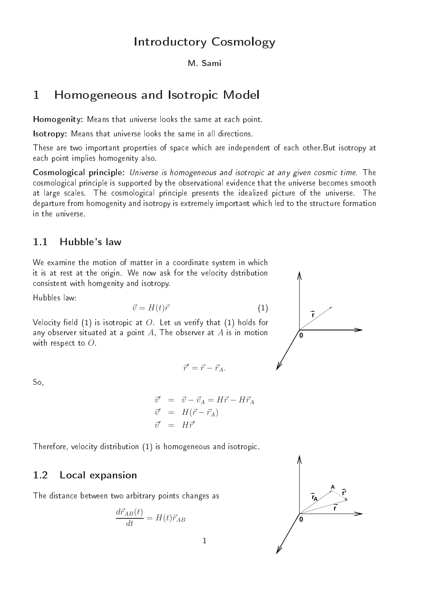# Introdu
tory Cosmology

### M. Sami

#### Homogeneous and Isotropi Model  $\mathbf{1}$

Homogenity: Means that universe looks the same at ea
h point.

Isotropy: Means that universe looks the same in all dire
tions.

These are two important properties of space which are independent of each other But isotropy at ea
h point implies homogenity also.

Cosmologi
al prin
iple: Universe is homogeneous and isotropi at any given osmi time. The cosmological principle is supported by the observational evidence that the universe becomes smooth at large scales. The cosmological principle presents the idealized picture of the universe. The departure from homogenity and isotropy is extremely important which led to the structure formation in the universe.

## 1.1 Hubble's law

We examine the motion of matter in a coordinate system in which it is at rest at the origin. We now ask for the velocity dstribution onsistent with homgenity and isotropy.

Hubbles law:

$$
\vec{v} = H(t)\vec{r} \tag{1}
$$

Velocity field  $(1)$  is isotropic at O. Let us verify that  $(1)$  holds for any observer situated at a point  $A$ , The observer at  $A$  is in motion with respect to  $O$ .

$$
\vec{r}' = \vec{r} - \vec{r}_A.
$$

So,

$$
\begin{array}{rcl}\n\vec{v}' & = & \vec{v} - \vec{v}_A = H\vec{r} - H\vec{r}_A \\
\vec{v}' & = & H(\vec{r} - \vec{r}_A) \\
\vec{v}' & = & H\vec{r}'\n\end{array}
$$

Therefore, velocity distribution (1) is homogeneous and isotropic.

#### $1.2$ Local expansion

The distan
e between two arbitrary points hanges as

$$
\frac{d\vec{r}_{AB}(t)}{dt} = H(t)\vec{r}_{AB}
$$



**r 0**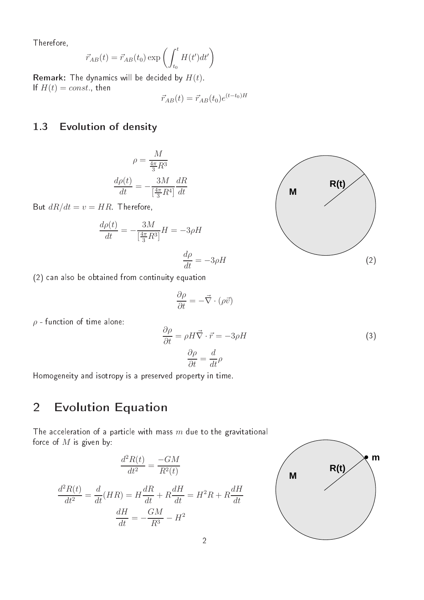Therefore,

$$
\vec{r}_{AB}(t) = \vec{r}_{AB}(t_0) \exp\left(\int_{t_0}^t H(t')dt'\right)
$$

**Remark:** The dynamics will be decided by  $H(t)$ . If  $H(t) = const.$ , then

$$
\vec{r}_{AB}(t) = \vec{r}_{AB}(t_0)e^{(t-t_0)H}
$$

## 1.3 Evolution of density

$$
\rho = \frac{M}{\frac{4\pi}{3}R^3}
$$

$$
\frac{d\rho(t)}{dt} = -\frac{3M}{\left[\frac{4\pi}{3}R^4\right]} \frac{dR}{dt}
$$

But  $dR/dt = v = HR$ . Therefore,

$$
\frac{d\rho(t)}{dt} = -\frac{3M}{\left[\frac{4\pi}{3}R^3\right]}H = -3\rho H
$$

$$
\frac{d\rho}{dt}=-3\rho H
$$



(2) an also be obtained from ontinuity equation

$$
\frac{\partial \rho}{\partial t} = -\vec{\nabla} \cdot (\rho \vec{v})
$$

 $\rho$  - function of time alone:

$$
\frac{\partial \rho}{\partial t} = \rho H \vec{\nabla} \cdot \vec{r} = -3\rho H
$$
\n
$$
\frac{\partial \rho}{\partial t} = \frac{d}{dt} \rho
$$
\n(3)

Homogeneity and isotropy is a preserved property in time.

### 2Evolution Equation

The acceleration of a particle with mass  $m$  due to the gravitational force of  $M$  is given by:

$$
\frac{d^2R(t)}{dt^2} = \frac{-GM}{R^2(t)}
$$

$$
\frac{d^2R(t)}{dt^2} = \frac{d}{dt}(HR) = H\frac{dR}{dt} + R\frac{dH}{dt} = H^2R + R\frac{dH}{dt}
$$

$$
\frac{dH}{dt} = -\frac{GM}{R^3} - H^2
$$

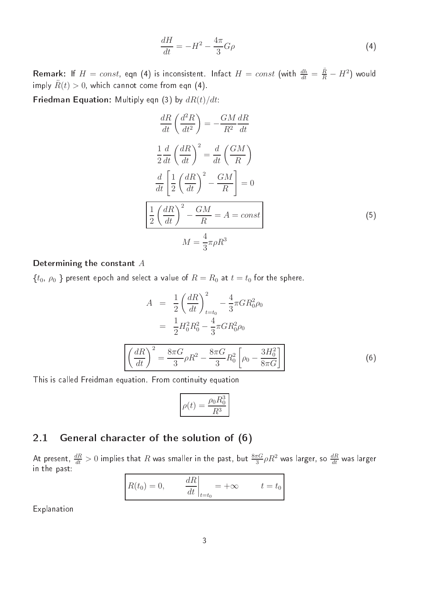$$
\frac{dH}{dt} = -H^2 - \frac{4\pi}{3}G\rho\tag{4}
$$

**Remark**: If  $H = const$ , eqn (4) is inconsistent. Infact  $H = const$  (with  $\frac{dh}{dt} = \frac{\ddot{R}}{R} - H^2$ ) would imply  $\ddot{R}(t) > 0$ , which cannot come from eqn (4).

**Friedman Equation:** Multiply eqn (3) by  $dR(t)/dt$ :

$$
\frac{dR}{dt}\left(\frac{d^2R}{dt^2}\right) = -\frac{GM}{R^2}\frac{dR}{dt}
$$
\n
$$
\frac{1}{2}\frac{d}{dt}\left(\frac{dR}{dt}\right)^2 = \frac{d}{dt}\left(\frac{GM}{R}\right)
$$
\n
$$
\frac{d}{dt}\left[\frac{1}{2}\left(\frac{dR}{dt}\right)^2 - \frac{GM}{R}\right] = 0
$$
\n
$$
\frac{1}{2}\left(\frac{dR}{dt}\right)^2 - \frac{GM}{R} = A = const
$$
\n
$$
M = \frac{4}{3}\pi\rho R^3
$$
\n(5)

### Determining the constant  $A$

 $\{t_0, \rho_0\}$  present epoch and select a value of  $R=R_0$  at  $t=t_0$  for the sphere.

$$
A = \frac{1}{2} \left(\frac{dR}{dt}\right)_{t=t_0}^2 - \frac{4}{3} \pi G R_0^2 \rho_0
$$
  

$$
= \frac{1}{2} H_0^2 R_0^2 - \frac{4}{3} \pi G R_0^2 \rho_0
$$
  

$$
\left(\frac{dR}{dt}\right)^2 = \frac{8\pi G}{3} \rho R^2 - \frac{8\pi G}{3} R_0^2 \left[\rho_0 - \frac{3H_0^2}{8\pi G}\right]
$$
(6)

This is called Freidman equation. From continuity equation

$$
\rho(t) = \frac{\rho_0 R_0^3}{R^3}
$$

# 2.1 General character of the solution of (6)

At present,  $\frac{dR}{dt}>0$  implies that  $R$  was smaller in the past, but  $\frac{8\pi G}{3}\rho R^2$  was larger, so  $\frac{dR}{dt}$  was larger in the past:

$$
\left| R(t_0) = 0, \qquad \left. \frac{dR}{dt} \right|_{t=t_0} = +\infty \qquad t = t_0
$$

Explanation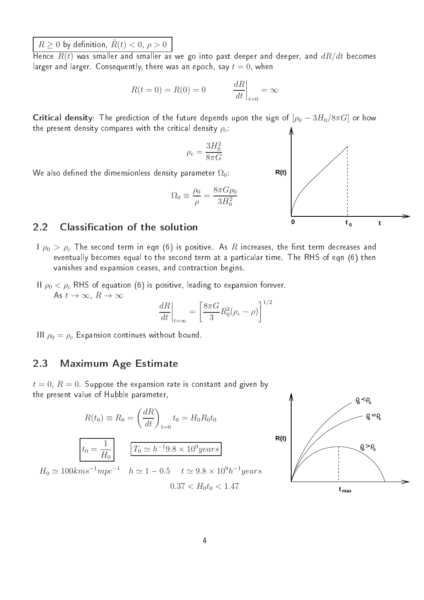$R \ge 0$  by definition,  $\ddot{R}(t) < 0$ ,  $\rho > 0$ 

Hence  $R(t)$  was smaller and smaller as we go into past deeper and deeper, and  $dR/dt$  becomes larger and larger. Consequently, there was an epoch, say  $t=0$ , when

$$
R(t=0) = R(0) = 0 \qquad \left. \frac{dR}{dt} \right|_{t=0} = \infty
$$

**Critical density**: The prediction of the future depends upon the sign of  $[\rho_0 - 3H_0/8\pi G]$  or how the present density compares with the critical density  $\rho_c$ :

$$
\rho_c=\frac{3H_0^2}{8\pi G}
$$

We also defined the dimensionless density parameter  $\Omega_0$ :

$$
\Omega_0 \equiv \frac{\rho_0}{\rho} = \frac{8\pi G \rho_0}{3H_0^2}
$$

#### Classification of the solution  $2.2$

- $\log P_{\rho 0} > \rho_c$  The second term in eqn (6) is positive. As R increases, the first term decreases and eventually becomes equal to the second term at a particular time. The RHS of eqn (6) then vanishes and expansion ceases, and contraction begins.
- II  $\rho_0 < \rho_c$  RHS of equation (6) is positive, leading to expansion forever. As  $t \to \infty$ ,  $R \to \infty$

$$
\left. \frac{dR}{dt} \right|_{t=\infty} = \left[ \frac{8\pi G}{3} R_0^2 (\rho_c - \rho) \right]^{1/2}
$$

III  $\rho_0 = \rho_c$  Expansion continues without bound.

## 2.3 Maximum Age Estimate

 $t = 0$ ,  $R = 0$ . Suppose the expansion rate is constant and given by the present value of Hubble parameter,

$$
R(t_0) \equiv R_0 = \left(\frac{dR}{dt}\right)_{t=0} t_0 = H_0 R_0 t_0
$$

$$
t_0 = \frac{1}{H_0} \qquad \boxed{T_0 \simeq h^{-1} 9.8 \times 10^9 years}
$$

$$
H_0 \simeq 100 kms^{-1} mpc^{-1} \quad h \simeq 1 - 0.5 \quad t \simeq 9.8 \times 10^9 h^{-1} years
$$

$$
0.37 < H_0 t_0 < 1.47
$$



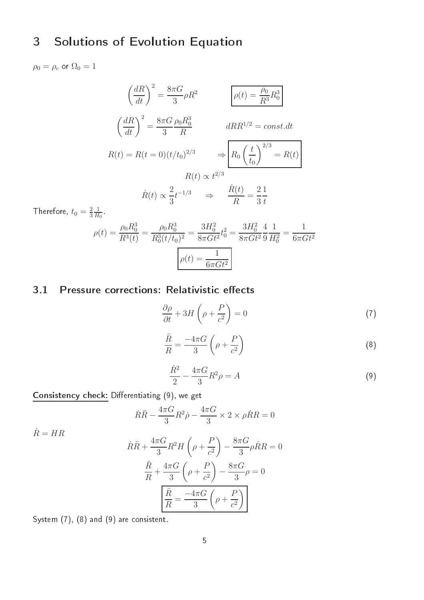### 3Solutions of Evolution Equation

$$
\rho_0 = \rho_c \text{ or } \Omega_0 = 1
$$

$$
\left(\frac{dR}{dt}\right)^2 = \frac{8\pi G}{3}\rho R^2 \qquad \rho(t) = \frac{\rho_0}{R^3}R_0^3
$$

$$
\left(\frac{dR}{dt}\right)^2 = \frac{8\pi G}{3}\frac{\rho_0 R_0^3}{R} \qquad dRR^{1/2} = const.dt
$$

$$
R(t) = R(t=0)(t/t_0)^{2/3} \qquad \Rightarrow \boxed{R_0 \left(\frac{t}{t_0}\right)^{2/3}} = R(t)
$$

$$
R(t) \propto t^{2/3}
$$
Therefore  $t_0 = 2.1$ 

Therefore,  $t_0 = \frac{2}{3}$ 3 1  $H_0$ 

 $\dot{R} = HR$ 

$$
\rho(t) = \frac{\rho_0 R_0^3}{R^3(t)} = \frac{\rho_0 R_0^3}{R_0^3 (t/t_0)^2} = \frac{3H_0^2}{8\pi G t^2} t_0^2 = \frac{3H_0^2}{8\pi G t^2} \frac{4}{9} \frac{1}{H_0^2} = \frac{1}{6\pi G t^2}
$$

$$
\rho(t) = \frac{1}{6\pi G t^2}
$$

# 3.1 Pressure corrections: Relativistic effects

$$
\frac{\partial \rho}{\partial t} + 3H\left(\rho + \frac{P}{c^2}\right) = 0\tag{7}
$$

$$
\frac{\ddot{R}}{R} = \frac{-4\pi G}{3} \left( \rho + \frac{P}{c^2} \right)
$$
\n(8)

$$
\frac{\dot{R}^2}{2} - \frac{4\pi G}{3}R^2\rho = A
$$
\n(9)

Consisten
y he
k: Dierentiating (9), we get

$$
\dot{R}\ddot{R} - \frac{4\pi G}{3}R^2\dot{\rho} - \frac{4\pi G}{3} \times 2 \times \rho \dot{R}R = 0
$$

$$
\dot{R}\ddot{R} + \frac{4\pi G}{3}R^2H\left(\rho + \frac{P}{c^2}\right) - \frac{8\pi G}{3}\rho\dot{R}R = 0
$$

$$
\frac{\ddot{R}}{R} + \frac{4\pi G}{3}\left(\rho + \frac{P}{c^2}\right) - \frac{8\pi G}{3}\rho = 0
$$

$$
\boxed{\frac{\ddot{R}}{R} = \frac{-4\pi G}{3}\left(\rho + \frac{P}{c^2}\right)}
$$

System (7), (8) and (9) are consistent.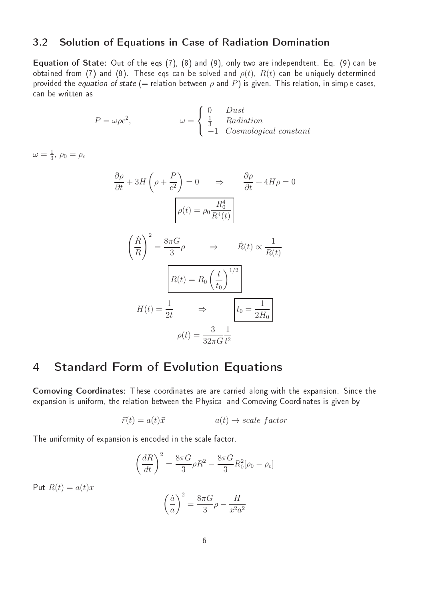## 3.2 Solution of Equations in Case of Radiation Domination

Equation of State: Out of the eqs (7), (8) and (9), only two are independtent. Eq. (9) an be obtained from (7) and (8). These eqs can be solved and  $\rho(t)$ ,  $R(t)$  can be uniquely determined provided the equation of state (= relation between  $\rho$  and P) is given. This relation, in simple cases, an be written as

$$
P = \omega \rho c^{2}, \qquad \qquad \omega = \begin{cases} 0 & \text{Dust} \\ \frac{1}{3} & \text{Radiation} \\ -1 & \text{Cosmological constant} \end{cases}
$$

 $\omega=\frac{1}{3}$  $\frac{1}{3}$ ,  $\rho_0 = \rho_c$ 

$$
\frac{\partial \rho}{\partial t} + 3H \left( \rho + \frac{P}{c^2} \right) = 0 \qquad \Rightarrow \qquad \frac{\partial \rho}{\partial t} + 4H\rho = 0
$$

$$
\rho(t) = \rho_0 \frac{R_0^4}{R^4(t)}
$$

$$
\left( \frac{\dot{R}}{R} \right)^2 = \frac{8\pi G}{3} \rho \qquad \Rightarrow \qquad \dot{R}(t) \propto \frac{1}{R(t)}
$$

$$
R(t) = R_0 \left( \frac{t}{t_0} \right)^{1/2}
$$

$$
H(t) = \frac{1}{2t} \qquad \Rightarrow \qquad \boxed{t_0 = \frac{1}{2H_0}}
$$

$$
\rho(t) = \frac{3}{32\pi G} \frac{1}{t^2}
$$

# Standard Form of Evolution Equations

Comoving Coordinates: These oordinates are are arried along with the expansion. Sin
e the expansion is uniform, the relation between the Physical and Comoving Coordinates is given by

$$
\vec{r}(t) = a(t)\vec{x} \qquad \qquad a(t) \to scale\ factor
$$

The uniformity of expansion is encoded in the scale factor.

$$
\left(\frac{dR}{dt}\right)^2 = \frac{8\pi G}{3}\rho R^2 - \frac{8\pi G}{3}R_0^2[\rho_0 - \rho_c]
$$

Put  $R(t) = a(t)x$ 

$$
\left(\frac{\dot{a}}{a}\right)^2 = \frac{8\pi G}{3}\rho - \frac{H}{x^2 a^2}
$$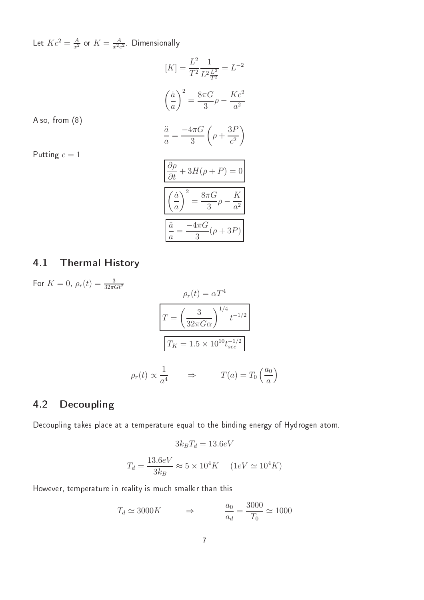Let  $Kc^2 = \frac{A}{x^2}$  or  $K = \frac{A}{x^2c^2}$  Dimensionally

$$
[K] = \frac{L^2}{T^2} \frac{1}{L^2 \frac{L^2}{T^2}} = L^{-2}
$$

$$
\left(\frac{\dot{a}}{a}\right)^2 = \frac{8\pi G}{3} \rho - \frac{Kc^2}{a^2}
$$

$$
\frac{\ddot{a}}{a} = \frac{-4\pi G}{3} \left(\rho + \frac{3P}{c^2}\right)
$$

$$
\frac{\partial \rho}{\partial t} + 3H(\rho + P) = 0
$$

$$
\left(\frac{\dot{a}}{a}\right)^2 = \frac{8\pi G}{3} \rho - \frac{K}{a^2}
$$

$$
\frac{\ddot{a}}{a} = \frac{-4\pi G}{3} (\rho + 3P)
$$

Also, from (8)

Putting  $c = 1$ 

# 4.1 Thermal History

For 
$$
K = 0
$$
,  $\rho_r(t) = \frac{3}{32\pi G t^2}$   

$$
\rho_r(t) = \alpha T^4
$$

$$
T = \left(\frac{3}{32\pi G\alpha}\right)^{1/4} t^{-1/2}
$$

$$
T_K = 1.5 \times 10^{10} t_{sec}^{-1/2}
$$

$$
\rho_r(t) \propto \frac{1}{a^4} \qquad \Rightarrow \qquad T(a) = T_0 \left(\frac{a_0}{a}\right)
$$

# 4.2 Decoupling

Decoupling takes place at a temperature equal to the binding energy of Hydrogen atom.

$$
3k_B T_d = 13.6 eV
$$

$$
T_d = \frac{13.6 eV}{3k_B} \approx 5 \times 10^4 K \quad (1 eV \simeq 10^4 K)
$$

However, temperature in reality is mu
h smaller than this

$$
T_d \simeq 3000K \qquad \Rightarrow \qquad \frac{a_0}{a_d} = \frac{3000}{T_0} \simeq 1000
$$